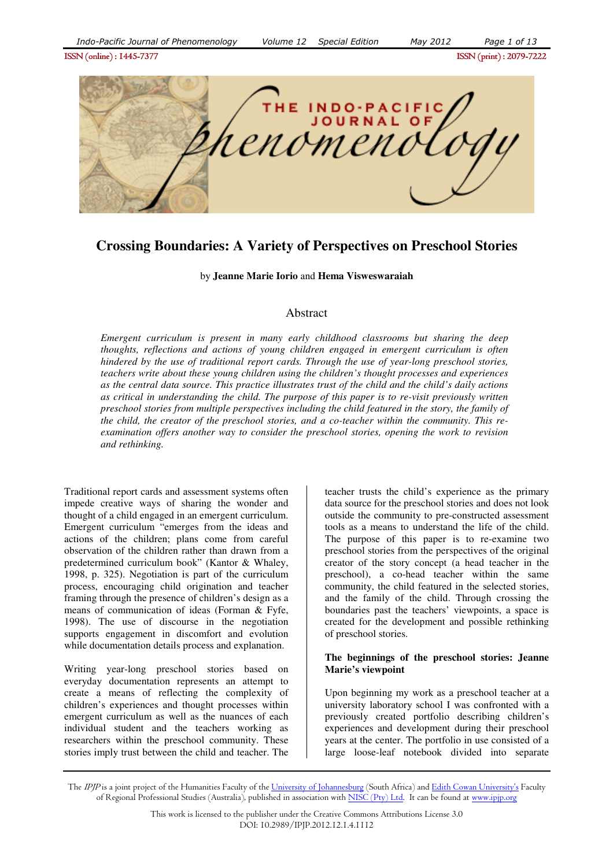

# **Crossing Boundaries: A Variety of Perspectives on Preschool Stories**

by **Jeanne Marie Iorio** and **Hema Visweswaraiah** 

## Abstract

*Emergent curriculum is present in many early childhood classrooms but sharing the deep thoughts, reflections and actions of young children engaged in emergent curriculum is often hindered by the use of traditional report cards. Through the use of year-long preschool stories, teachers write about these young children using the children's thought processes and experiences as the central data source. This practice illustrates trust of the child and the child's daily actions as critical in understanding the child. The purpose of this paper is to re-visit previously written preschool stories from multiple perspectives including the child featured in the story, the family of the child, the creator of the preschool stories, and a co-teacher within the community. This reexamination offers another way to consider the preschool stories, opening the work to revision and rethinking.* 

Traditional report cards and assessment systems often impede creative ways of sharing the wonder and thought of a child engaged in an emergent curriculum. Emergent curriculum "emerges from the ideas and actions of the children; plans come from careful observation of the children rather than drawn from a predetermined curriculum book" (Kantor & Whaley, 1998, p. 325). Negotiation is part of the curriculum process, encouraging child origination and teacher framing through the presence of children's design as a means of communication of ideas (Forman & Fyfe, 1998). The use of discourse in the negotiation supports engagement in discomfort and evolution while documentation details process and explanation.

Writing year-long preschool stories based on everyday documentation represents an attempt to create a means of reflecting the complexity of children's experiences and thought processes within emergent curriculum as well as the nuances of each individual student and the teachers working as researchers within the preschool community. These stories imply trust between the child and teacher. The teacher trusts the child's experience as the primary data source for the preschool stories and does not look outside the community to pre-constructed assessment tools as a means to understand the life of the child. The purpose of this paper is to re-examine two preschool stories from the perspectives of the original creator of the story concept (a head teacher in the preschool), a co-head teacher within the same community, the child featured in the selected stories, and the family of the child. Through crossing the boundaries past the teachers' viewpoints, a space is created for the development and possible rethinking of preschool stories.

## **The beginnings of the preschool stories: Jeanne Marie's viewpoint**

Upon beginning my work as a preschool teacher at a university laboratory school I was confronted with a previously created portfolio describing children's experiences and development during their preschool years at the center. The portfolio in use consisted of a large loose-leaf notebook divided into separate

The IPJP is a joint project of the Humanities Faculty of the University of Johannesburg (South Africa) and Edith Cowan University's Faculty of Regional Professional Studies (Australia), published in association with NISC (Pty) Ltd. It can be found at www.ipjp.org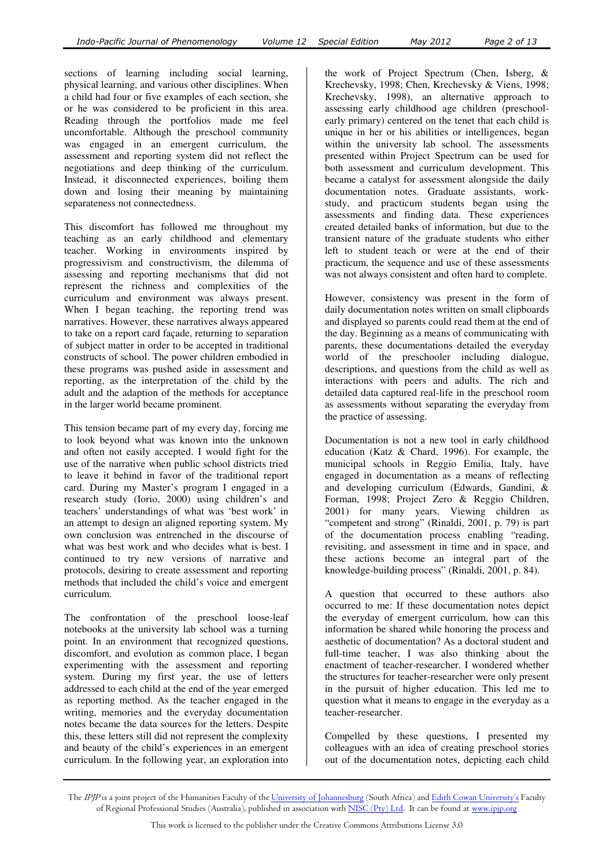sections of learning including social learning, physical learning, and various other disciplines. When a child had four or five examples of each section, she or he was considered to be proficient in this area. Reading through the portfolios made me feel uncomfortable. Although the preschool community was engaged in an emergent curriculum, the assessment and reporting system did not reflect the negotiations and deep thinking of the curriculum. Instead, it disconnected experiences, boiling them down and losing their meaning by maintaining separateness not connectedness.

This discomfort has followed me throughout my teaching as an early childhood and elementary teacher. Working in environments inspired by progressivism and constructivism, the dilemma of assessing and reporting mechanisms that did not represent the richness and complexities of the curriculum and environment was always present. When I began teaching, the reporting trend was narratives. However, these narratives always appeared to take on a report card façade, returning to separation of subject matter in order to be accepted in traditional constructs of school. The power children embodied in these programs was pushed aside in assessment and reporting, as the interpretation of the child by the adult and the adaption of the methods for acceptance in the larger world became prominent.

This tension became part of my every day, forcing me to look beyond what was known into the unknown and often not easily accepted. I would fight for the use of the narrative when public school districts tried to leave it behind in favor of the traditional report card. During my Master's program I engaged in a research study (Iorio, 2000) using children's and teachers' understandings of what was 'best work' in an attempt to design an aligned reporting system. My own conclusion was entrenched in the discourse of what was best work and who decides what is best. I continued to try new versions of narrative and protocols, desiring to create assessment and reporting methods that included the child's voice and emergent curriculum.

The confrontation of the preschool loose-leaf notebooks at the university lab school was a turning point. In an environment that recognized questions, discomfort, and evolution as common place, I began experimenting with the assessment and reporting system. During my first year, the use of letters addressed to each child at the end of the year emerged as reporting method. As the teacher engaged in the writing, memories and the everyday documentation notes became the data sources for the letters. Despite this, these letters still did not represent the complexity and beauty of the child's experiences in an emergent curriculum. In the following year, an exploration into

the work of Project Spectrum (Chen, Isberg, & Krechevsky, 1998; Chen, Krechevsky & Viens, 1998; Krechevsky, 1998), an alternative approach to assessing early childhood age children (preschoolearly primary) centered on the tenet that each child is unique in her or his abilities or intelligences, began within the university lab school. The assessments presented within Project Spectrum can be used for both assessment and curriculum development. This became a catalyst for assessment alongside the daily documentation notes. Graduate assistants, workstudy, and practicum students began using the assessments and finding data. These experiences created detailed banks of information, but due to the transient nature of the graduate students who either left to student teach or were at the end of their practicum, the sequence and use of these assessments was not always consistent and often hard to complete.

However, consistency was present in the form of daily documentation notes written on small clipboards and displayed so parents could read them at the end of the day. Beginning as a means of communicating with parents, these documentations detailed the everyday world of the preschooler including dialogue, descriptions, and questions from the child as well as interactions with peers and adults. The rich and detailed data captured real-life in the preschool room as assessments without separating the everyday from the practice of assessing.

Documentation is not a new tool in early childhood education (Katz & Chard, 1996). For example, the municipal schools in Reggio Emilia, Italy, have engaged in documentation as a means of reflecting and developing curriculum (Edwards, Gandini, & Forman, 1998; Project Zero & Reggio Children, 2001) for many years. Viewing children as "competent and strong" (Rinaldi, 2001, p. 79) is part of the documentation process enabling "reading, revisiting, and assessment in time and in space, and these actions become an integral part of the knowledge-building process" (Rinaldi, 2001, p. 84).

A question that occurred to these authors also occurred to me: If these documentation notes depict the everyday of emergent curriculum, how can this information be shared while honoring the process and aesthetic of documentation? As a doctoral student and full-time teacher, I was also thinking about the enactment of teacher-researcher. I wondered whether the structures for teacher-researcher were only present in the pursuit of higher education. This led me to question what it means to engage in the everyday as a teacher-researcher.

Compelled by these questions, I presented my colleagues with an idea of creating preschool stories out of the documentation notes, depicting each child

The IPJP is a joint project of the Humanities Faculty of the University of Johannesburg (South Africa) and Edith Cowan University's Faculty of Regional Professional Studies (Australia), published in association with NISC (Pty) Ltd. It can be found at www.ipjp.org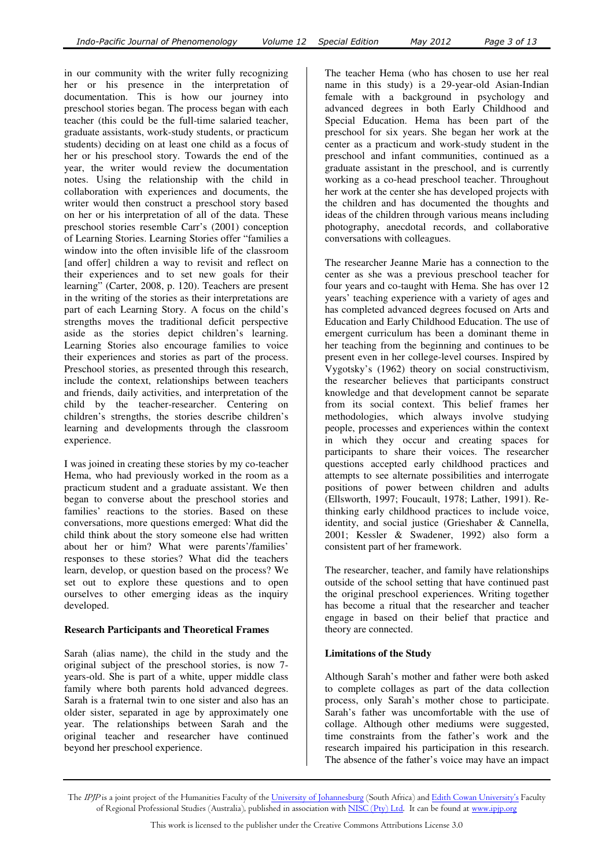in our community with the writer fully recognizing her or his presence in the interpretation of documentation. This is how our journey into preschool stories began. The process began with each teacher (this could be the full-time salaried teacher, graduate assistants, work-study students, or practicum students) deciding on at least one child as a focus of her or his preschool story. Towards the end of the year, the writer would review the documentation notes. Using the relationship with the child in collaboration with experiences and documents, the writer would then construct a preschool story based on her or his interpretation of all of the data. These preschool stories resemble Carr's (2001) conception of Learning Stories. Learning Stories offer "families a window into the often invisible life of the classroom [and offer] children a way to revisit and reflect on their experiences and to set new goals for their learning" (Carter, 2008, p. 120). Teachers are present in the writing of the stories as their interpretations are part of each Learning Story. A focus on the child's strengths moves the traditional deficit perspective aside as the stories depict children's learning. Learning Stories also encourage families to voice their experiences and stories as part of the process. Preschool stories, as presented through this research, include the context, relationships between teachers and friends, daily activities, and interpretation of the child by the teacher-researcher. Centering on children's strengths, the stories describe children's learning and developments through the classroom experience.

I was joined in creating these stories by my co-teacher Hema, who had previously worked in the room as a practicum student and a graduate assistant. We then began to converse about the preschool stories and families' reactions to the stories. Based on these conversations, more questions emerged: What did the child think about the story someone else had written about her or him? What were parents'/families' responses to these stories? What did the teachers learn, develop, or question based on the process? We set out to explore these questions and to open ourselves to other emerging ideas as the inquiry developed.

## **Research Participants and Theoretical Frames**

Sarah (alias name), the child in the study and the original subject of the preschool stories, is now 7 years-old. She is part of a white, upper middle class family where both parents hold advanced degrees. Sarah is a fraternal twin to one sister and also has an older sister, separated in age by approximately one year. The relationships between Sarah and the original teacher and researcher have continued beyond her preschool experience.

The teacher Hema (who has chosen to use her real name in this study) is a 29-year-old Asian-Indian female with a background in psychology and advanced degrees in both Early Childhood and Special Education. Hema has been part of the preschool for six years. She began her work at the center as a practicum and work-study student in the preschool and infant communities, continued as a graduate assistant in the preschool, and is currently working as a co-head preschool teacher. Throughout her work at the center she has developed projects with the children and has documented the thoughts and ideas of the children through various means including photography, anecdotal records, and collaborative conversations with colleagues.

The researcher Jeanne Marie has a connection to the center as she was a previous preschool teacher for four years and co-taught with Hema. She has over 12 years' teaching experience with a variety of ages and has completed advanced degrees focused on Arts and Education and Early Childhood Education. The use of emergent curriculum has been a dominant theme in her teaching from the beginning and continues to be present even in her college-level courses. Inspired by Vygotsky's (1962) theory on social constructivism, the researcher believes that participants construct knowledge and that development cannot be separate from its social context. This belief frames her methodologies, which always involve studying people, processes and experiences within the context in which they occur and creating spaces for participants to share their voices. The researcher questions accepted early childhood practices and attempts to see alternate possibilities and interrogate positions of power between children and adults (Ellsworth, 1997; Foucault, 1978; Lather, 1991). Rethinking early childhood practices to include voice, identity, and social justice (Grieshaber & Cannella, 2001; Kessler & Swadener, 1992) also form a consistent part of her framework.

The researcher, teacher, and family have relationships outside of the school setting that have continued past the original preschool experiences. Writing together has become a ritual that the researcher and teacher engage in based on their belief that practice and theory are connected.

## **Limitations of the Study**

Although Sarah's mother and father were both asked to complete collages as part of the data collection process, only Sarah's mother chose to participate. Sarah's father was uncomfortable with the use of collage. Although other mediums were suggested, time constraints from the father's work and the research impaired his participation in this research. The absence of the father's voice may have an impact

The IPJP is a joint project of the Humanities Faculty of the University of Johannesburg (South Africa) and Edith Cowan University's Faculty of Regional Professional Studies (Australia), published in association with NISC (Pty) Ltd. It can be found at www.ipjp.org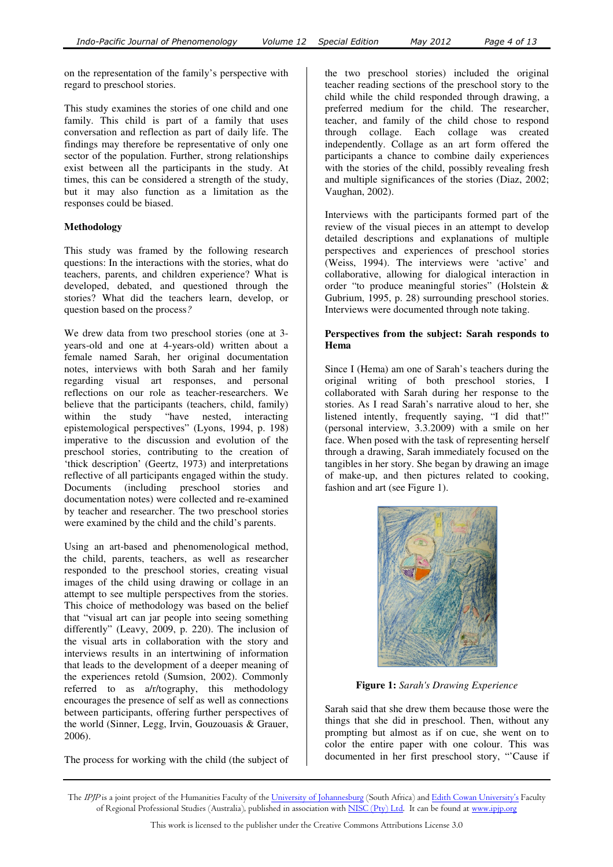on the representation of the family's perspective with regard to preschool stories.

This study examines the stories of one child and one family. This child is part of a family that uses conversation and reflection as part of daily life. The findings may therefore be representative of only one sector of the population. Further, strong relationships exist between all the participants in the study. At times, this can be considered a strength of the study, but it may also function as a limitation as the responses could be biased.

## **Methodology**

This study was framed by the following research questions: In the interactions with the stories, what do teachers, parents, and children experience? What is developed, debated, and questioned through the stories? What did the teachers learn, develop, or question based on the process*?*

We drew data from two preschool stories (one at 3 years-old and one at 4-years-old) written about a female named Sarah, her original documentation notes, interviews with both Sarah and her family regarding visual art responses, and personal reflections on our role as teacher-researchers. We believe that the participants (teachers, child, family) within the study "have nested, interacting epistemological perspectives" (Lyons, 1994, p. 198) imperative to the discussion and evolution of the preschool stories, contributing to the creation of 'thick description' (Geertz, 1973) and interpretations reflective of all participants engaged within the study. Documents (including preschool stories and documentation notes) were collected and re-examined by teacher and researcher. The two preschool stories were examined by the child and the child's parents.

Using an art-based and phenomenological method, the child, parents, teachers, as well as researcher responded to the preschool stories, creating visual images of the child using drawing or collage in an attempt to see multiple perspectives from the stories. This choice of methodology was based on the belief that "visual art can jar people into seeing something differently" (Leavy, 2009, p. 220). The inclusion of the visual arts in collaboration with the story and interviews results in an intertwining of information that leads to the development of a deeper meaning of the experiences retold (Sumsion, 2002). Commonly referred to as a/r/tography, this methodology encourages the presence of self as well as connections between participants, offering further perspectives of the world (Sinner, Legg, Irvin, Gouzouasis & Grauer, 2006).

The process for working with the child (the subject of

the two preschool stories) included the original teacher reading sections of the preschool story to the child while the child responded through drawing, a preferred medium for the child. The researcher, teacher, and family of the child chose to respond through collage. Each collage was created independently. Collage as an art form offered the participants a chance to combine daily experiences with the stories of the child, possibly revealing fresh and multiple significances of the stories (Diaz, 2002; Vaughan, 2002).

Interviews with the participants formed part of the review of the visual pieces in an attempt to develop detailed descriptions and explanations of multiple perspectives and experiences of preschool stories (Weiss, 1994). The interviews were 'active' and collaborative, allowing for dialogical interaction in order "to produce meaningful stories" (Holstein & Gubrium, 1995, p. 28) surrounding preschool stories. Interviews were documented through note taking.

#### **Perspectives from the subject: Sarah responds to Hema**

Since I (Hema) am one of Sarah's teachers during the original writing of both preschool stories, I collaborated with Sarah during her response to the stories. As I read Sarah's narrative aloud to her, she listened intently, frequently saying, "I did that!" (personal interview, 3.3.2009) with a smile on her face. When posed with the task of representing herself through a drawing, Sarah immediately focused on the tangibles in her story. She began by drawing an image of make-up, and then pictures related to cooking, fashion and art (see Figure 1).



**Figure 1:** *Sarah's Drawing Experience*

Sarah said that she drew them because those were the things that she did in preschool. Then, without any prompting but almost as if on cue, she went on to color the entire paper with one colour. This was documented in her first preschool story, "'Cause if

The IPJP is a joint project of the Humanities Faculty of the University of Johannesburg (South Africa) and Edith Cowan University's Faculty of Regional Professional Studies (Australia), published in association with NISC (Pty) Ltd. It can be found at www.ipjp.org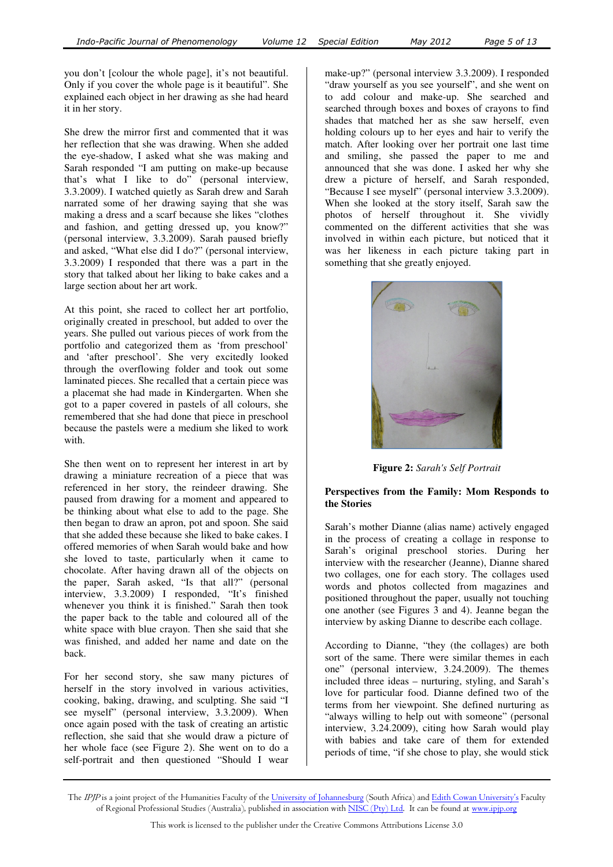you don't [colour the whole page], it's not beautiful. Only if you cover the whole page is it beautiful". She explained each object in her drawing as she had heard it in her story.

She drew the mirror first and commented that it was her reflection that she was drawing. When she added the eye-shadow, I asked what she was making and Sarah responded "I am putting on make-up because that's what I like to do" (personal interview, 3.3.2009). I watched quietly as Sarah drew and Sarah narrated some of her drawing saying that she was making a dress and a scarf because she likes "clothes and fashion, and getting dressed up, you know?" (personal interview, 3.3.2009). Sarah paused briefly and asked, "What else did I do?" (personal interview, 3.3.2009) I responded that there was a part in the story that talked about her liking to bake cakes and a large section about her art work.

At this point, she raced to collect her art portfolio, originally created in preschool, but added to over the years. She pulled out various pieces of work from the portfolio and categorized them as 'from preschool' and 'after preschool'. She very excitedly looked through the overflowing folder and took out some laminated pieces. She recalled that a certain piece was a placemat she had made in Kindergarten. When she got to a paper covered in pastels of all colours, she remembered that she had done that piece in preschool because the pastels were a medium she liked to work with.

She then went on to represent her interest in art by drawing a miniature recreation of a piece that was referenced in her story, the reindeer drawing. She paused from drawing for a moment and appeared to be thinking about what else to add to the page. She then began to draw an apron, pot and spoon. She said that she added these because she liked to bake cakes. I offered memories of when Sarah would bake and how she loved to taste, particularly when it came to chocolate. After having drawn all of the objects on the paper, Sarah asked, "Is that all?" (personal interview, 3.3.2009) I responded, "It's finished whenever you think it is finished." Sarah then took the paper back to the table and coloured all of the white space with blue crayon. Then she said that she was finished, and added her name and date on the back.

For her second story, she saw many pictures of herself in the story involved in various activities, cooking, baking, drawing, and sculpting. She said "I see myself" (personal interview, 3.3.2009). When once again posed with the task of creating an artistic reflection, she said that she would draw a picture of her whole face (see Figure 2). She went on to do a self-portrait and then questioned "Should I wear

make-up?" (personal interview 3.3.2009). I responded "draw yourself as you see yourself", and she went on to add colour and make-up. She searched and searched through boxes and boxes of crayons to find shades that matched her as she saw herself, even holding colours up to her eyes and hair to verify the match. After looking over her portrait one last time and smiling, she passed the paper to me and announced that she was done. I asked her why she drew a picture of herself, and Sarah responded, "Because I see myself" (personal interview 3.3.2009). When she looked at the story itself, Sarah saw the photos of herself throughout it. She vividly commented on the different activities that she was involved in within each picture, but noticed that it was her likeness in each picture taking part in something that she greatly enjoyed.



**Figure 2:** *Sarah's Self Portrait*

## **Perspectives from the Family: Mom Responds to the Stories**

Sarah's mother Dianne (alias name) actively engaged in the process of creating a collage in response to Sarah's original preschool stories. During her interview with the researcher (Jeanne), Dianne shared two collages, one for each story. The collages used words and photos collected from magazines and positioned throughout the paper, usually not touching one another (see Figures 3 and 4). Jeanne began the interview by asking Dianne to describe each collage.

According to Dianne, "they (the collages) are both sort of the same. There were similar themes in each one" (personal interview, 3.24.2009). The themes included three ideas – nurturing, styling, and Sarah's love for particular food. Dianne defined two of the terms from her viewpoint. She defined nurturing as "always willing to help out with someone" (personal interview, 3.24.2009), citing how Sarah would play with babies and take care of them for extended periods of time, "if she chose to play, she would stick

The *IPJP* is a joint project of the Humanities Faculty of the <u>University of Johannesburg</u> (South Africa) and <u>Edith Cowan University's</u> Faculty of Regional Professional Studies (Australia), published in association with <u>NISC (Pty) Ltd</u>. It can be found at <u>www.ipjp.org</u>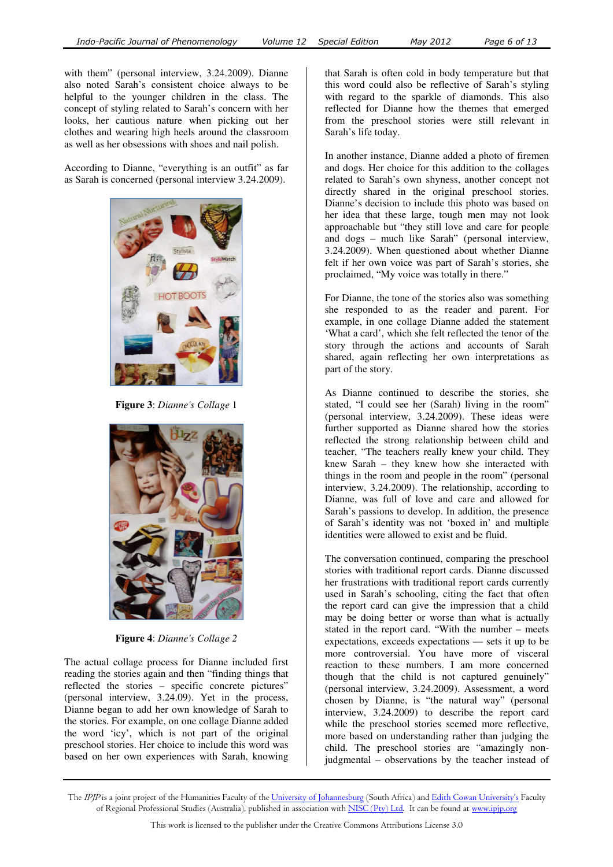with them" (personal interview, 3.24.2009). Dianne also noted Sarah's consistent choice always to be helpful to the younger children in the class. The concept of styling related to Sarah's concern with her looks, her cautious nature when picking out her clothes and wearing high heels around the classroom as well as her obsessions with shoes and nail polish.

According to Dianne, "everything is an outfit" as far as Sarah is concerned (personal interview 3.24.2009).



**Figure 3**: *Dianne's Collage* 1



**Figure 4**: *Dianne's Collage 2*

The actual collage process for Dianne included first reading the stories again and then "finding things that reflected the stories – specific concrete pictures" (personal interview, 3.24.09). Yet in the process, Dianne began to add her own knowledge of Sarah to the stories. For example, on one collage Dianne added the word 'icy', which is not part of the original preschool stories. Her choice to include this word was based on her own experiences with Sarah, knowing

that Sarah is often cold in body temperature but that this word could also be reflective of Sarah's styling with regard to the sparkle of diamonds. This also reflected for Dianne how the themes that emerged from the preschool stories were still relevant in Sarah's life today.

In another instance, Dianne added a photo of firemen and dogs. Her choice for this addition to the collages related to Sarah's own shyness, another concept not directly shared in the original preschool stories. Dianne's decision to include this photo was based on her idea that these large, tough men may not look approachable but "they still love and care for people and dogs – much like Sarah" (personal interview, 3.24.2009). When questioned about whether Dianne felt if her own voice was part of Sarah's stories, she proclaimed, "My voice was totally in there."

For Dianne, the tone of the stories also was something she responded to as the reader and parent. For example, in one collage Dianne added the statement 'What a card', which she felt reflected the tenor of the story through the actions and accounts of Sarah shared, again reflecting her own interpretations as part of the story.

As Dianne continued to describe the stories, she stated, "I could see her (Sarah) living in the room" (personal interview, 3.24.2009). These ideas were further supported as Dianne shared how the stories reflected the strong relationship between child and teacher, "The teachers really knew your child. They knew Sarah – they knew how she interacted with things in the room and people in the room" (personal interview, 3.24.2009). The relationship, according to Dianne, was full of love and care and allowed for Sarah's passions to develop. In addition, the presence of Sarah's identity was not 'boxed in' and multiple identities were allowed to exist and be fluid.

The conversation continued, comparing the preschool stories with traditional report cards. Dianne discussed her frustrations with traditional report cards currently used in Sarah's schooling, citing the fact that often the report card can give the impression that a child may be doing better or worse than what is actually stated in the report card. "With the number – meets expectations, exceeds expectations — sets it up to be more controversial. You have more of visceral reaction to these numbers. I am more concerned though that the child is not captured genuinely" (personal interview, 3.24.2009). Assessment, a word chosen by Dianne, is "the natural way" (personal interview, 3.24.2009) to describe the report card while the preschool stories seemed more reflective, more based on understanding rather than judging the child. The preschool stories are "amazingly nonjudgmental – observations by the teacher instead of

The *IPJP* is a joint project of the Humanities Faculty of the <u>University of Johannesburg</u> (South Africa) and <u>Edith Cowan University's</u> Faculty of Regional Professional Studies (Australia), published in association with <u>NISC (Pty) Ltd</u>. It can be found at <u>www.ipjp.org</u>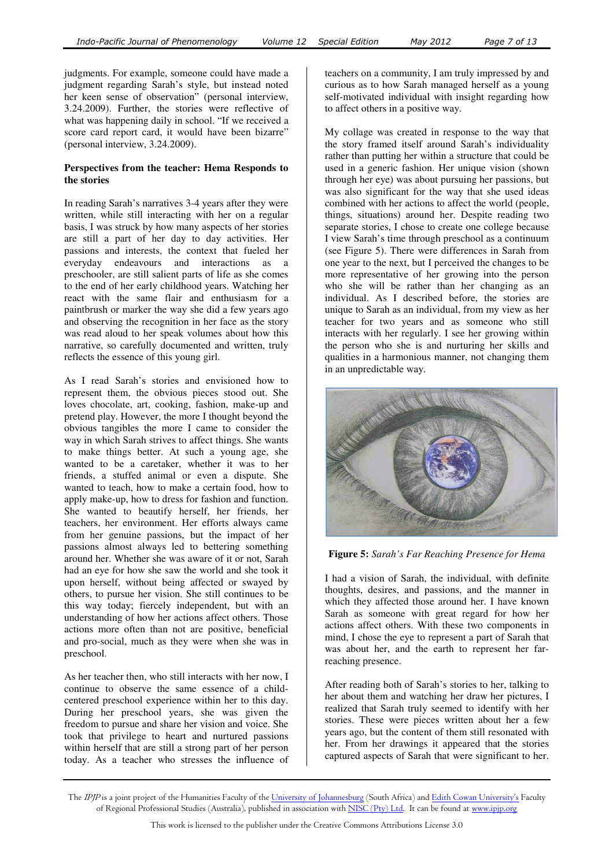judgments. For example, someone could have made a judgment regarding Sarah's style, but instead noted her keen sense of observation" (personal interview, 3.24.2009). Further, the stories were reflective of what was happening daily in school. "If we received a score card report card, it would have been bizarre" (personal interview, 3.24.2009).

#### **Perspectives from the teacher: Hema Responds to the stories**

In reading Sarah's narratives 3-4 years after they were written, while still interacting with her on a regular basis, I was struck by how many aspects of her stories are still a part of her day to day activities. Her passions and interests, the context that fueled her everyday endeavours and interactions as a preschooler, are still salient parts of life as she comes to the end of her early childhood years. Watching her react with the same flair and enthusiasm for a paintbrush or marker the way she did a few years ago and observing the recognition in her face as the story was read aloud to her speak volumes about how this narrative, so carefully documented and written, truly reflects the essence of this young girl.

As I read Sarah's stories and envisioned how to represent them, the obvious pieces stood out. She loves chocolate, art, cooking, fashion, make-up and pretend play. However, the more I thought beyond the obvious tangibles the more I came to consider the way in which Sarah strives to affect things. She wants to make things better. At such a young age, she wanted to be a caretaker, whether it was to her friends, a stuffed animal or even a dispute. She wanted to teach, how to make a certain food, how to apply make-up, how to dress for fashion and function. She wanted to beautify herself, her friends, her teachers, her environment. Her efforts always came from her genuine passions, but the impact of her passions almost always led to bettering something around her. Whether she was aware of it or not, Sarah had an eye for how she saw the world and she took it upon herself, without being affected or swayed by others, to pursue her vision. She still continues to be this way today; fiercely independent, but with an understanding of how her actions affect others. Those actions more often than not are positive, beneficial and pro-social, much as they were when she was in preschool.

As her teacher then, who still interacts with her now, I continue to observe the same essence of a childcentered preschool experience within her to this day. During her preschool years, she was given the freedom to pursue and share her vision and voice. She took that privilege to heart and nurtured passions within herself that are still a strong part of her person today. As a teacher who stresses the influence of

teachers on a community, I am truly impressed by and curious as to how Sarah managed herself as a young self-motivated individual with insight regarding how to affect others in a positive way.

My collage was created in response to the way that the story framed itself around Sarah's individuality rather than putting her within a structure that could be used in a generic fashion. Her unique vision (shown through her eye) was about pursuing her passions, but was also significant for the way that she used ideas combined with her actions to affect the world (people, things, situations) around her. Despite reading two separate stories, I chose to create one college because I view Sarah's time through preschool as a continuum (see Figure 5). There were differences in Sarah from one year to the next, but I perceived the changes to be more representative of her growing into the person who she will be rather than her changing as an individual. As I described before, the stories are unique to Sarah as an individual, from my view as her teacher for two years and as someone who still interacts with her regularly. I see her growing within the person who she is and nurturing her skills and qualities in a harmonious manner, not changing them in an unpredictable way.



**Figure 5:** *Sarah's Far Reaching Presence for Hema* 

I had a vision of Sarah, the individual, with definite thoughts, desires, and passions, and the manner in which they affected those around her. I have known Sarah as someone with great regard for how her actions affect others. With these two components in mind, I chose the eye to represent a part of Sarah that was about her, and the earth to represent her farreaching presence.

After reading both of Sarah's stories to her, talking to her about them and watching her draw her pictures, I realized that Sarah truly seemed to identify with her stories. These were pieces written about her a few years ago, but the content of them still resonated with her. From her drawings it appeared that the stories captured aspects of Sarah that were significant to her.

The *IPJP* is a joint project of the Humanities Faculty of the <u>University of Johannesburg</u> (South Africa) and <u>Edith Cowan University's</u> Faculty of Regional Professional Studies (Australia), published in association with <u>NISC (Pty) Ltd</u>. It can be found at <u>www.ipjp.org</u>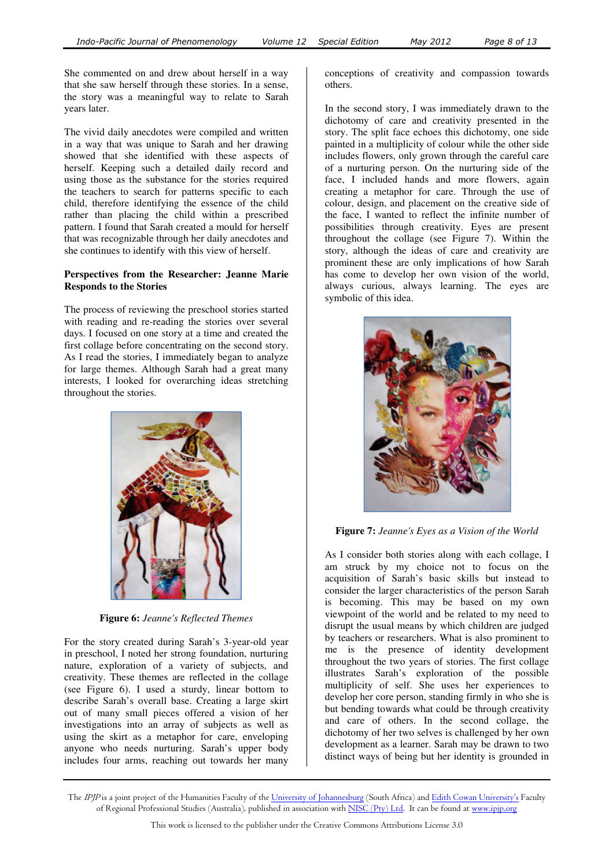She commented on and drew about herself in a way that she saw herself through these stories. In a sense, the story was a meaningful way to relate to Sarah years later.

The vivid daily anecdotes were compiled and written in a way that was unique to Sarah and her drawing showed that she identified with these aspects of herself. Keeping such a detailed daily record and using those as the substance for the stories required the teachers to search for patterns specific to each child, therefore identifying the essence of the child rather than placing the child within a prescribed pattern. I found that Sarah created a mould for herself that was recognizable through her daily anecdotes and she continues to identify with this view of herself.

#### **Perspectives from the Researcher: Jeanne Marie Responds to the Stories**

The process of reviewing the preschool stories started with reading and re-reading the stories over several days. I focused on one story at a time and created the first collage before concentrating on the second story. As I read the stories, I immediately began to analyze for large themes. Although Sarah had a great many interests, I looked for overarching ideas stretching throughout the stories.



**Figure 6:** *Jeanne's Reflected Themes*

For the story created during Sarah's 3-year-old year in preschool, I noted her strong foundation, nurturing nature, exploration of a variety of subjects, and creativity. These themes are reflected in the collage (see Figure 6). I used a sturdy, linear bottom to describe Sarah's overall base. Creating a large skirt out of many small pieces offered a vision of her investigations into an array of subjects as well as using the skirt as a metaphor for care, enveloping anyone who needs nurturing. Sarah's upper body includes four arms, reaching out towards her many

conceptions of creativity and compassion towards others.

In the second story, I was immediately drawn to the dichotomy of care and creativity presented in the story. The split face echoes this dichotomy, one side painted in a multiplicity of colour while the other side includes flowers, only grown through the careful care of a nurturing person. On the nurturing side of the face, I included hands and more flowers, again creating a metaphor for care. Through the use of colour, design, and placement on the creative side of the face, I wanted to reflect the infinite number of possibilities through creativity. Eyes are present throughout the collage (see Figure 7). Within the story, although the ideas of care and creativity are prominent these are only implications of how Sarah has come to develop her own vision of the world, always curious, always learning. The eyes are symbolic of this idea.



**Figure 7:** *Jeanne's Eyes as a Vision of the World*

As I consider both stories along with each collage, I am struck by my choice not to focus on the acquisition of Sarah's basic skills but instead to consider the larger characteristics of the person Sarah is becoming. This may be based on my own viewpoint of the world and be related to my need to disrupt the usual means by which children are judged by teachers or researchers. What is also prominent to me is the presence of identity development throughout the two years of stories. The first collage illustrates Sarah's exploration of the possible multiplicity of self. She uses her experiences to develop her core person, standing firmly in who she is but bending towards what could be through creativity and care of others. In the second collage, the dichotomy of her two selves is challenged by her own development as a learner. Sarah may be drawn to two distinct ways of being but her identity is grounded in

The IPJP is a joint project of the Humanities Faculty of the University of Johannesburg (South Africa) and Edith Cowan University's Faculty of Regional Professional Studies (Australia), published in association with NISC (Pty) Ltd. It can be found at www.ipjp.org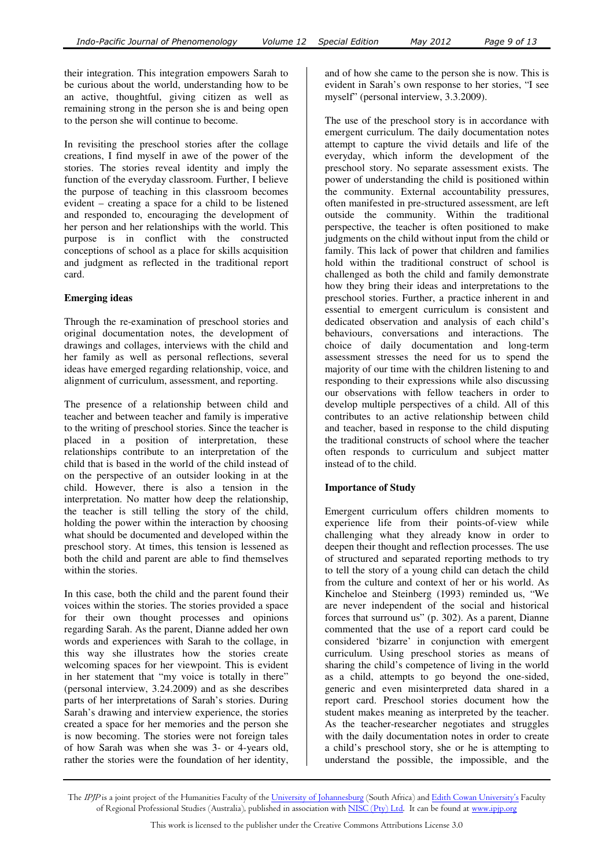their integration. This integration empowers Sarah to be curious about the world, understanding how to be an active, thoughtful, giving citizen as well as remaining strong in the person she is and being open

In revisiting the preschool stories after the collage creations, I find myself in awe of the power of the stories. The stories reveal identity and imply the function of the everyday classroom. Further, I believe the purpose of teaching in this classroom becomes evident – creating a space for a child to be listened and responded to, encouraging the development of her person and her relationships with the world. This purpose is in conflict with the constructed conceptions of school as a place for skills acquisition and judgment as reflected in the traditional report card.

to the person she will continue to become.

## **Emerging ideas**

Through the re-examination of preschool stories and original documentation notes, the development of drawings and collages, interviews with the child and her family as well as personal reflections, several ideas have emerged regarding relationship, voice, and alignment of curriculum, assessment, and reporting.

The presence of a relationship between child and teacher and between teacher and family is imperative to the writing of preschool stories. Since the teacher is placed in a position of interpretation, these relationships contribute to an interpretation of the child that is based in the world of the child instead of on the perspective of an outsider looking in at the child. However, there is also a tension in the interpretation. No matter how deep the relationship, the teacher is still telling the story of the child, holding the power within the interaction by choosing what should be documented and developed within the preschool story. At times, this tension is lessened as both the child and parent are able to find themselves within the stories.

In this case, both the child and the parent found their voices within the stories. The stories provided a space for their own thought processes and opinions regarding Sarah. As the parent, Dianne added her own words and experiences with Sarah to the collage, in this way she illustrates how the stories create welcoming spaces for her viewpoint. This is evident in her statement that "my voice is totally in there" (personal interview, 3.24.2009) and as she describes parts of her interpretations of Sarah's stories. During Sarah's drawing and interview experience, the stories created a space for her memories and the person she is now becoming. The stories were not foreign tales of how Sarah was when she was 3- or 4-years old, rather the stories were the foundation of her identity,

and of how she came to the person she is now. This is evident in Sarah's own response to her stories, "I see myself" (personal interview, 3.3.2009).

The use of the preschool story is in accordance with emergent curriculum. The daily documentation notes attempt to capture the vivid details and life of the everyday, which inform the development of the preschool story. No separate assessment exists. The power of understanding the child is positioned within the community. External accountability pressures, often manifested in pre-structured assessment, are left outside the community. Within the traditional perspective, the teacher is often positioned to make judgments on the child without input from the child or family. This lack of power that children and families hold within the traditional construct of school is challenged as both the child and family demonstrate how they bring their ideas and interpretations to the preschool stories. Further, a practice inherent in and essential to emergent curriculum is consistent and dedicated observation and analysis of each child's behaviours, conversations and interactions. The choice of daily documentation and long-term assessment stresses the need for us to spend the majority of our time with the children listening to and responding to their expressions while also discussing our observations with fellow teachers in order to develop multiple perspectives of a child. All of this contributes to an active relationship between child and teacher, based in response to the child disputing the traditional constructs of school where the teacher often responds to curriculum and subject matter instead of to the child.

#### **Importance of Study**

Emergent curriculum offers children moments to experience life from their points-of-view while challenging what they already know in order to deepen their thought and reflection processes. The use of structured and separated reporting methods to try to tell the story of a young child can detach the child from the culture and context of her or his world. As Kincheloe and Steinberg (1993) reminded us, "We are never independent of the social and historical forces that surround us" (p. 302). As a parent, Dianne commented that the use of a report card could be considered 'bizarre' in conjunction with emergent curriculum. Using preschool stories as means of sharing the child's competence of living in the world as a child, attempts to go beyond the one-sided, generic and even misinterpreted data shared in a report card. Preschool stories document how the student makes meaning as interpreted by the teacher. As the teacher-researcher negotiates and struggles with the daily documentation notes in order to create a child's preschool story, she or he is attempting to understand the possible, the impossible, and the

The *IPJP* is a joint project of the Humanities Faculty of the <u>University of Johannesburg</u> (South Africa) and <u>Edith Cowan University's</u> Faculty of Regional Professional Studies (Australia), published in association with <u>NISC (Pty) Ltd</u>. It can be found at <u>www.ipjp.org</u>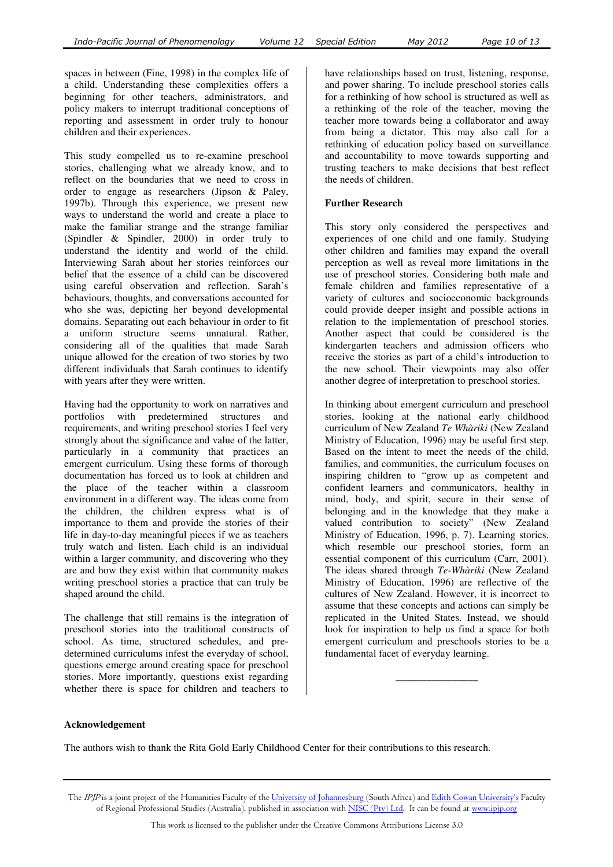spaces in between (Fine, 1998) in the complex life of a child. Understanding these complexities offers a beginning for other teachers, administrators, and policy makers to interrupt traditional conceptions of reporting and assessment in order truly to honour children and their experiences.

This study compelled us to re-examine preschool stories, challenging what we already know, and to reflect on the boundaries that we need to cross in order to engage as researchers (Jipson & Paley, 1997b). Through this experience, we present new ways to understand the world and create a place to make the familiar strange and the strange familiar (Spindler & Spindler, 2000) in order truly to understand the identity and world of the child. Interviewing Sarah about her stories reinforces our belief that the essence of a child can be discovered using careful observation and reflection. Sarah's behaviours, thoughts, and conversations accounted for who she was, depicting her beyond developmental domains. Separating out each behaviour in order to fit a uniform structure seems unnatural. Rather, considering all of the qualities that made Sarah unique allowed for the creation of two stories by two different individuals that Sarah continues to identify with years after they were written.

Having had the opportunity to work on narratives and portfolios with predetermined structures and requirements, and writing preschool stories I feel very strongly about the significance and value of the latter, particularly in a community that practices an emergent curriculum. Using these forms of thorough documentation has forced us to look at children and the place of the teacher within a classroom environment in a different way. The ideas come from the children, the children express what is of importance to them and provide the stories of their life in day-to-day meaningful pieces if we as teachers truly watch and listen. Each child is an individual within a larger community, and discovering who they are and how they exist within that community makes writing preschool stories a practice that can truly be shaped around the child.

The challenge that still remains is the integration of preschool stories into the traditional constructs of school. As time, structured schedules, and predetermined curriculums infest the everyday of school, questions emerge around creating space for preschool stories. More importantly, questions exist regarding whether there is space for children and teachers to

have relationships based on trust, listening, response, and power sharing. To include preschool stories calls for a rethinking of how school is structured as well as a rethinking of the role of the teacher, moving the teacher more towards being a collaborator and away from being a dictator. This may also call for a rethinking of education policy based on surveillance and accountability to move towards supporting and trusting teachers to make decisions that best reflect the needs of children.

#### **Further Research**

This story only considered the perspectives and experiences of one child and one family. Studying other children and families may expand the overall perception as well as reveal more limitations in the use of preschool stories. Considering both male and female children and families representative of a variety of cultures and socioeconomic backgrounds could provide deeper insight and possible actions in relation to the implementation of preschool stories. Another aspect that could be considered is the kindergarten teachers and admission officers who receive the stories as part of a child's introduction to the new school. Their viewpoints may also offer another degree of interpretation to preschool stories.

In thinking about emergent curriculum and preschool stories, looking at the national early childhood curriculum of New Zealand *Te Whàriki* (New Zealand Ministry of Education, 1996) may be useful first step. Based on the intent to meet the needs of the child, families, and communities, the curriculum focuses on inspiring children to "grow up as competent and confident learners and communicators, healthy in mind, body, and spirit, secure in their sense of belonging and in the knowledge that they make a valued contribution to society" (New Zealand Ministry of Education, 1996, p. 7). Learning stories, which resemble our preschool stories, form an essential component of this curriculum (Carr, 2001). The ideas shared through *Te-Whàriki* (New Zealand Ministry of Education, 1996) are reflective of the cultures of New Zealand. However, it is incorrect to assume that these concepts and actions can simply be replicated in the United States. Instead, we should look for inspiration to help us find a space for both emergent curriculum and preschools stories to be a fundamental facet of everyday learning.

\_\_\_\_\_\_\_\_\_\_\_\_\_\_\_\_

#### **Acknowledgement**

The authors wish to thank the Rita Gold Early Childhood Center for their contributions to this research.

The IPJP is a joint project of the Humanities Faculty of the University of Johannesburg (South Africa) and Edith Cowan University's Faculty of Regional Professional Studies (Australia), published in association with NISC (Pty) Ltd. It can be found at www.ipjp.org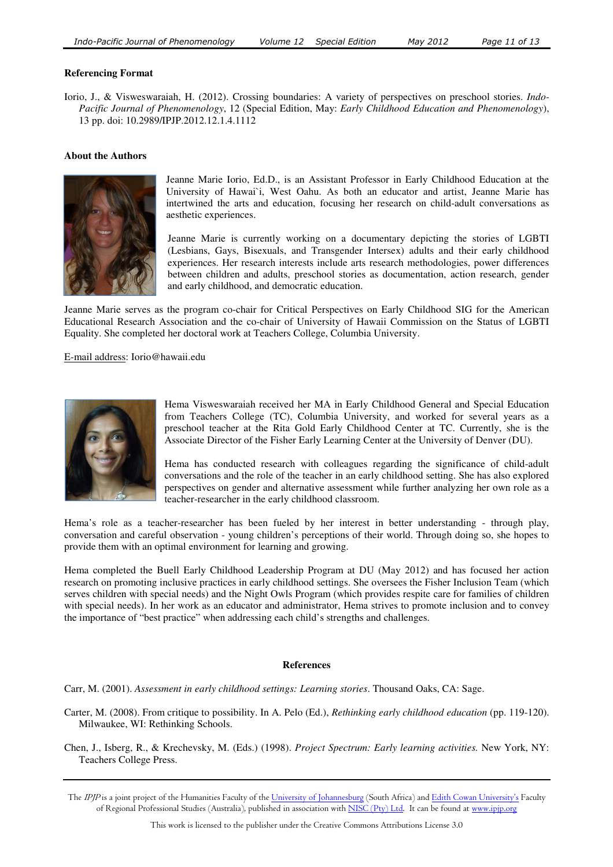#### **Referencing Format**

Iorio, J., & Visweswaraiah, H. (2012). Crossing boundaries: A variety of perspectives on preschool stories. *Indo-Pacific Journal of Phenomenology*, 12 (Special Edition, May: *Early Childhood Education and Phenomenology*), 13 pp. doi: 10.2989/IPJP.2012.12.1.4.1112

#### **About the Authors**



Jeanne Marie Iorio, Ed.D., is an Assistant Professor in Early Childhood Education at the University of Hawai`i, West Oahu. As both an educator and artist, Jeanne Marie has intertwined the arts and education, focusing her research on child-adult conversations as aesthetic experiences.

Jeanne Marie is currently working on a documentary depicting the stories of LGBTI (Lesbians, Gays, Bisexuals, and Transgender Intersex) adults and their early childhood experiences. Her research interests include arts research methodologies, power differences between children and adults, preschool stories as documentation, action research, gender and early childhood, and democratic education.

Jeanne Marie serves as the program co-chair for Critical Perspectives on Early Childhood SIG for the American Educational Research Association and the co-chair of University of Hawaii Commission on the Status of LGBTI Equality. She completed her doctoral work at Teachers College, Columbia University.

E-mail address: Iorio@hawaii.edu



Hema Visweswaraiah received her MA in Early Childhood General and Special Education from Teachers College (TC), Columbia University, and worked for several years as a preschool teacher at the Rita Gold Early Childhood Center at TC. Currently, she is the Associate Director of the Fisher Early Learning Center at the University of Denver (DU).

Hema has conducted research with colleagues regarding the significance of child-adult conversations and the role of the teacher in an early childhood setting. She has also explored perspectives on gender and alternative assessment while further analyzing her own role as a teacher-researcher in the early childhood classroom.

Hema's role as a teacher-researcher has been fueled by her interest in better understanding - through play, conversation and careful observation - young children's perceptions of their world. Through doing so, she hopes to provide them with an optimal environment for learning and growing.

Hema completed the Buell Early Childhood Leadership Program at DU (May 2012) and has focused her action research on promoting inclusive practices in early childhood settings. She oversees the Fisher Inclusion Team (which serves children with special needs) and the Night Owls Program (which provides respite care for families of children with special needs). In her work as an educator and administrator, Hema strives to promote inclusion and to convey the importance of "best practice" when addressing each child's strengths and challenges.

#### **References**

Carr, M. (2001). *Assessment in early childhood settings: Learning stories*. Thousand Oaks, CA: Sage.

- Carter, M. (2008). From critique to possibility. In A. Pelo (Ed.), *Rethinking early childhood education* (pp. 119-120). Milwaukee, WI: Rethinking Schools.
- Chen, J., Isberg, R., & Krechevsky, M. (Eds.) (1998). *Project Spectrum: Early learning activities.* New York, NY: Teachers College Press.

The IPJP is a joint project of the Humanities Faculty of the University of Johannesburg (South Africa) and Edith Cowan University's Faculty of Regional Professional Studies (Australia), published in association with NISC (Pty) Ltd. It can be found at www.ipjp.org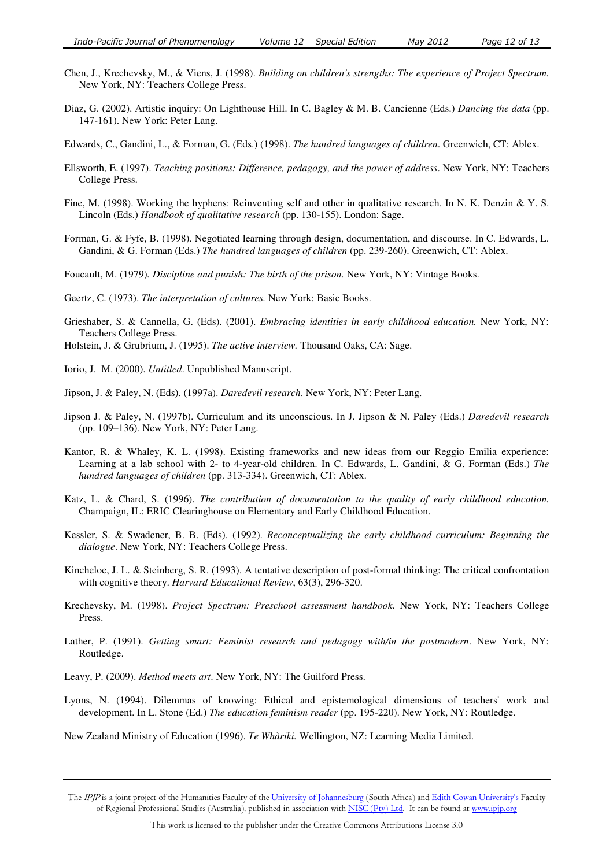- Chen, J., Krechevsky, M., & Viens, J. (1998). *Building on children's strengths: The experience of Project Spectrum.* New York, NY: Teachers College Press.
- Diaz, G. (2002). Artistic inquiry: On Lighthouse Hill. In C. Bagley & M. B. Cancienne (Eds.) *Dancing the data* (pp. 147-161). New York: Peter Lang.

Edwards, C., Gandini, L., & Forman, G. (Eds.) (1998). *The hundred languages of children*. Greenwich, CT: Ablex.

- Ellsworth, E. (1997). *Teaching positions: Difference, pedagogy, and the power of address*. New York, NY: Teachers College Press.
- Fine, M. (1998). Working the hyphens: Reinventing self and other in qualitative research. In N. K. Denzin & Y. S. Lincoln (Eds.) *Handbook of qualitative research* (pp. 130-155). London: Sage.
- Forman, G. & Fyfe, B. (1998). Negotiated learning through design, documentation, and discourse. In C. Edwards, L. Gandini, & G. Forman (Eds.) *The hundred languages of children* (pp. 239-260). Greenwich, CT: Ablex.
- Foucault, M. (1979)*. Discipline and punish: The birth of the prison.* New York, NY: Vintage Books.

Geertz, C. (1973). *The interpretation of cultures.* New York: Basic Books.

- Grieshaber, S. & Cannella, G. (Eds). (2001). *Embracing identities in early childhood education.* New York, NY: Teachers College Press.
- Holstein, J. & Grubrium, J. (1995). *The active interview.* Thousand Oaks, CA: Sage.
- Iorio, J. M. (2000). *Untitled*. Unpublished Manuscript.
- Jipson, J. & Paley, N. (Eds). (1997a). *Daredevil research*. New York, NY: Peter Lang.
- Jipson J. & Paley, N. (1997b). Curriculum and its unconscious. In J. Jipson & N. Paley (Eds.) *Daredevil research*  (pp. 109–136)*.* New York, NY: Peter Lang.
- Kantor, R. & Whaley, K. L. (1998). Existing frameworks and new ideas from our Reggio Emilia experience: Learning at a lab school with 2- to 4-year-old children. In C. Edwards, L. Gandini, & G. Forman (Eds.) *The hundred languages of children* (pp. 313-334). Greenwich, CT: Ablex.
- Katz, L. & Chard, S. (1996). *The contribution of documentation to the quality of early childhood education.*  Champaign, IL: ERIC Clearinghouse on Elementary and Early Childhood Education.
- Kessler, S. & Swadener, B. B. (Eds). (1992). *Reconceptualizing the early childhood curriculum: Beginning the dialogue*. New York, NY: Teachers College Press.
- Kincheloe, J. L. & Steinberg, S. R. (1993). A tentative description of post-formal thinking: The critical confrontation with cognitive theory. *Harvard Educational Review*, 63(3), 296-320.
- Krechevsky, M. (1998). *Project Spectrum: Preschool assessment handbook*. New York, NY: Teachers College Press.
- Lather, P. (1991). *Getting smart: Feminist research and pedagogy with/in the postmodern*. New York, NY: Routledge.
- Leavy, P. (2009). *Method meets art*. New York, NY: The Guilford Press.
- Lyons, N. (1994). Dilemmas of knowing: Ethical and epistemological dimensions of teachers' work and development. In L. Stone (Ed.) *The education feminism reader* (pp. 195-220). New York, NY: Routledge.

New Zealand Ministry of Education (1996). *Te Whàriki.* Wellington, NZ: Learning Media Limited.

The IPJP is a joint project of the Humanities Faculty of the University of Johannesburg (South Africa) and Edith Cowan University's Faculty of Regional Professional Studies (Australia), published in association with NISC (Pty) Ltd. It can be found at www.ipjp.org